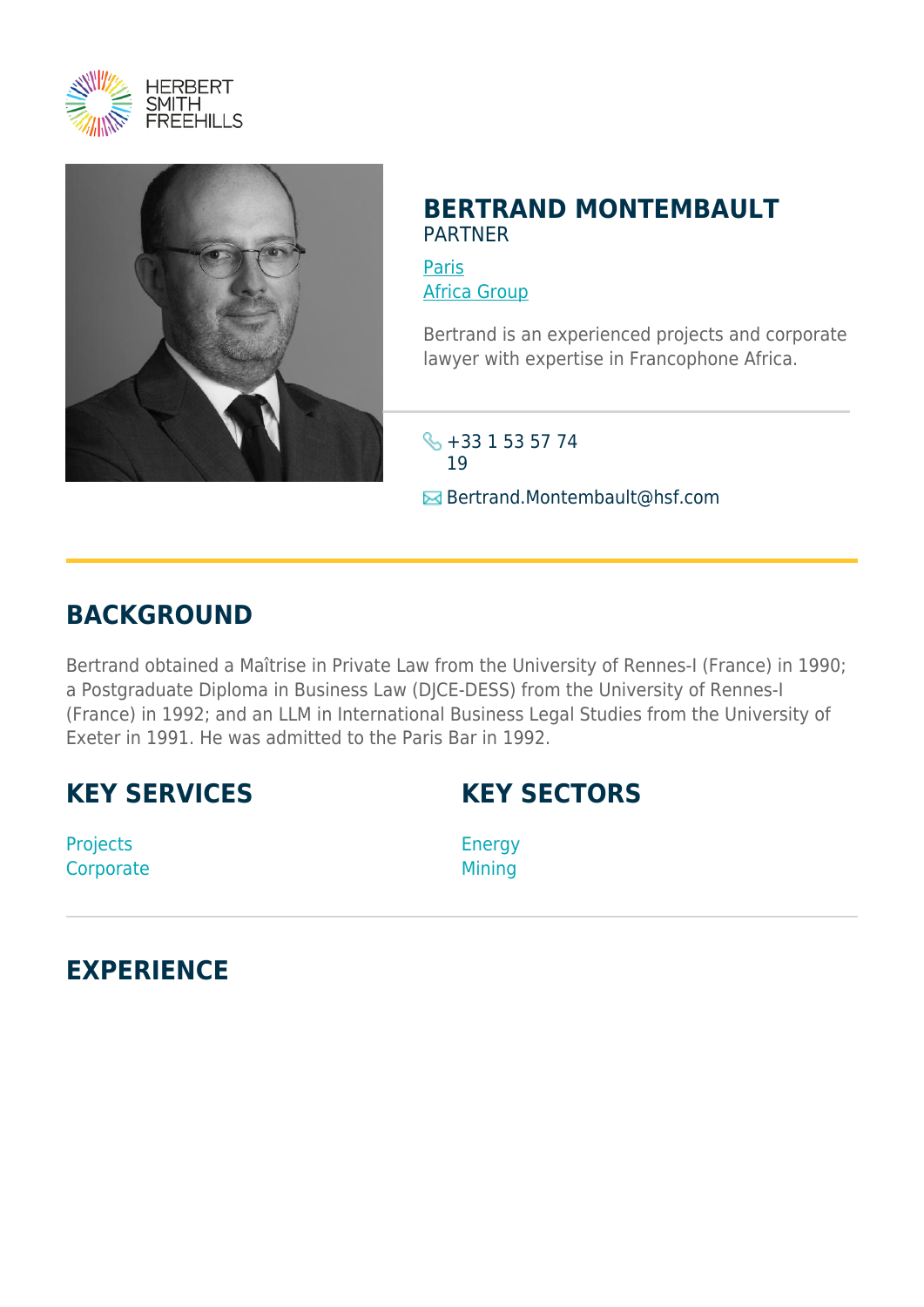



### **BERTRAND MONTEMBAULT** PARTNER

[Paris](https://www.herbertsmithfreehills.com/where-we-work/paris) [Africa Group](https://www.herbertsmithfreehills.com/where-we-work/africa-group)

Bertrand is an experienced projects and corporate lawyer with expertise in Francophone Africa.

\$ +33 1 53 57 74 19 **E**Bertrand.Montembault@hsf.com

## **BACKGROUND**

Bertrand obtained a Maîtrise in Private Law from the University of Rennes-I (France) in 1990; a Postgraduate Diploma in Business Law (DJCE-DESS) from the University of Rennes-I (France) in 1992; and an LLM in International Business Legal Studies from the University of Exeter in 1991. He was admitted to the Paris Bar in 1992.

## **KEY SERVICES**

Projects **Corporate** 

# **KEY SECTORS**

Energy **Mining** 

# **EXPERIENCE**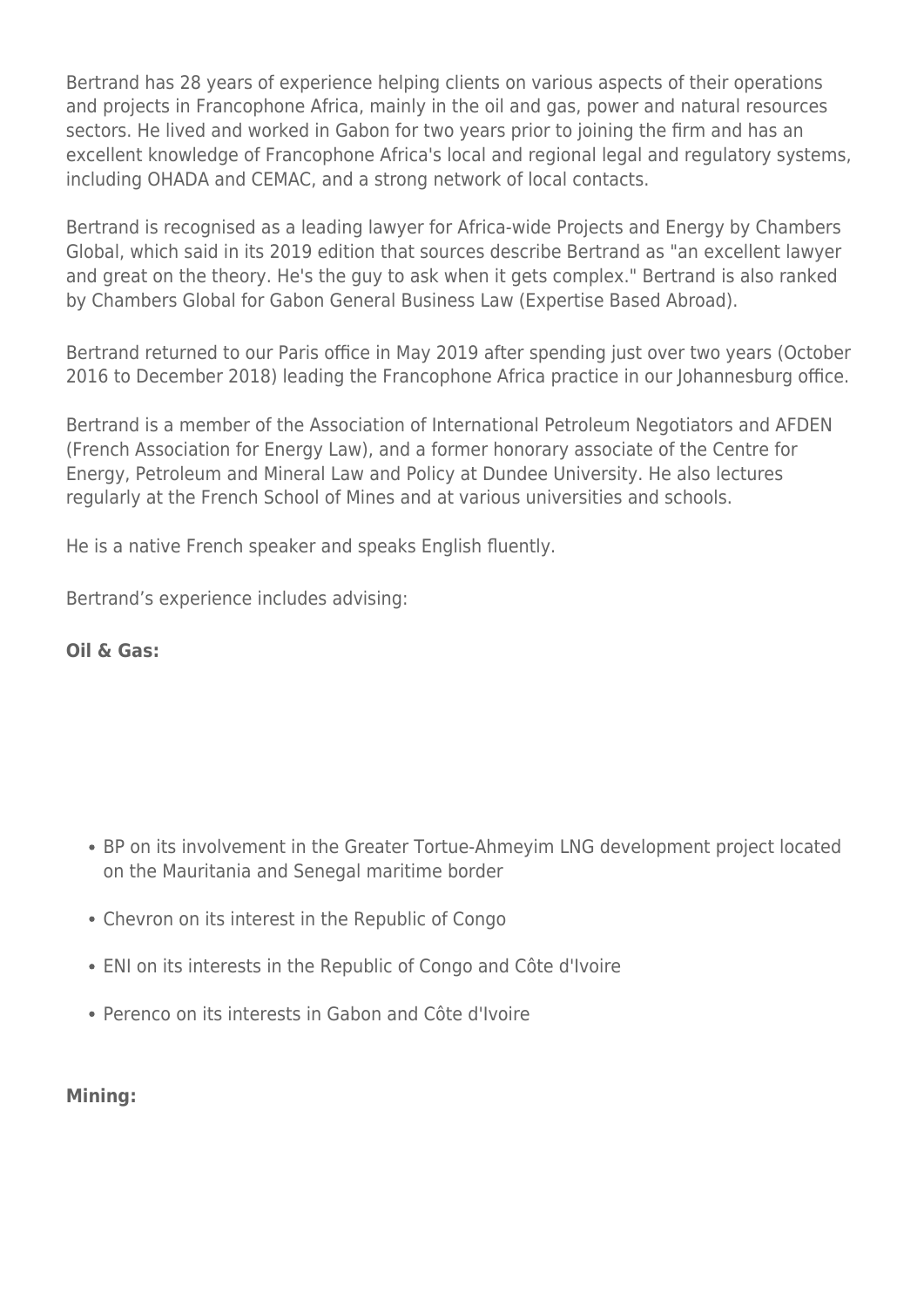Bertrand has 28 years of experience helping clients on various aspects of their operations and projects in Francophone Africa, mainly in the oil and gas, power and natural resources sectors. He lived and worked in Gabon for two years prior to joining the firm and has an excellent knowledge of Francophone Africa's local and regional legal and regulatory systems, including OHADA and CEMAC, and a strong network of local contacts.

Bertrand is recognised as a leading lawyer for Africa-wide Projects and Energy by Chambers Global, which said in its 2019 edition that sources describe Bertrand as "an excellent lawyer and great on the theory. He's the guy to ask when it gets complex." Bertrand is also ranked by Chambers Global for Gabon General Business Law (Expertise Based Abroad).

Bertrand returned to our Paris office in May 2019 after spending just over two years (October 2016 to December 2018) leading the Francophone Africa practice in our Johannesburg office.

Bertrand is a member of the Association of International Petroleum Negotiators and AFDEN (French Association for Energy Law), and a former honorary associate of the Centre for Energy, Petroleum and Mineral Law and Policy at Dundee University. He also lectures regularly at the French School of Mines and at various universities and schools.

He is a native French speaker and speaks English fluently.

Bertrand's experience includes advising:

#### **Oil & Gas:**

- BP on its involvement in the Greater Tortue-Ahmeyim LNG development project located on the Mauritania and Senegal maritime border
- Chevron on its interest in the Republic of Congo
- ENI on its interests in the Republic of Congo and Côte d'Ivoire
- Perenco on its interests in Gabon and Côte d'Ivoire

#### **Mining:**